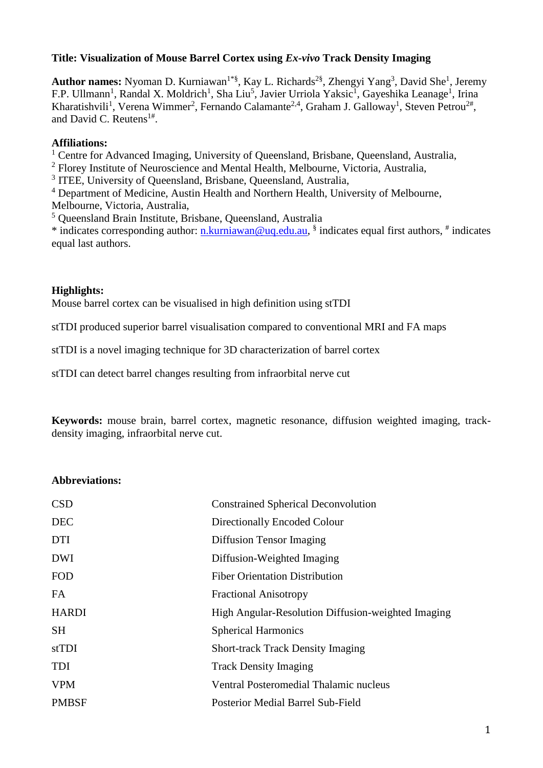#### **Title: Visualization of Mouse Barrel Cortex using** *Ex-vivo* **Track Density Imaging**

Author names: Nyoman D. Kurniawan<sup>1\*§</sup>, Kay L. Richards<sup>2§</sup>, Zhengyi Yang<sup>3</sup>, David She<sup>1</sup>, Jeremy F.P. Ullmann<sup>1</sup>, Randal X. Moldrich<sup>1</sup>, Sha Liu<sup>5</sup>, Javier Urriola Yaksic<sup>1</sup>, Gayeshika Leanage<sup>1</sup>, Irina Kharatishvili<sup>1</sup>, Verena Wimmer<sup>2</sup>, Fernando Calamante<sup>2,4</sup>, Graham J. Galloway<sup>1</sup>, Steven Petrou<sup>2#</sup>, and David C. Reutens $1#$ .

#### **Affiliations:**

<sup>1</sup> Centre for Advanced Imaging, University of Queensland, Brisbane, Queensland, Australia,

<sup>2</sup> Florey Institute of Neuroscience and Mental Health, Melbourne, Victoria, Australia,

<sup>3</sup> ITEE, University of Queensland, Brisbane, Queensland, Australia,

<sup>4</sup> Department of Medicine, Austin Health and Northern Health, University of Melbourne,

Melbourne, Victoria, Australia,

<sup>5</sup> Queensland Brain Institute, Brisbane, Queensland, Australia

\* indicates corresponding author: [n.kurniawan@uq.edu.au,](mailto:n.kurniawan@uq.edu.au) § indicates equal first authors, # indicates equal last authors.

### **Highlights:**

Mouse barrel cortex can be visualised in high definition using stTDI

stTDI produced superior barrel visualisation compared to conventional MRI and FA maps

stTDI is a novel imaging technique for 3D characterization of barrel cortex

stTDI can detect barrel changes resulting from infraorbital nerve cut

**Keywords:** mouse brain, barrel cortex, magnetic resonance, diffusion weighted imaging, trackdensity imaging, infraorbital nerve cut.

#### **Abbreviations:**

| <b>CSD</b>   | <b>Constrained Spherical Deconvolution</b>         |
|--------------|----------------------------------------------------|
| <b>DEC</b>   | Directionally Encoded Colour                       |
| <b>DTI</b>   | Diffusion Tensor Imaging                           |
| <b>DWI</b>   | Diffusion-Weighted Imaging                         |
| <b>FOD</b>   | <b>Fiber Orientation Distribution</b>              |
| FA.          | <b>Fractional Anisotropy</b>                       |
| <b>HARDI</b> | High Angular-Resolution Diffusion-weighted Imaging |
| <b>SH</b>    | <b>Spherical Harmonics</b>                         |
| stTDI        | <b>Short-track Track Density Imaging</b>           |
| <b>TDI</b>   | <b>Track Density Imaging</b>                       |
| <b>VPM</b>   | Ventral Posteromedial Thalamic nucleus             |
| <b>PMBSF</b> | Posterior Medial Barrel Sub-Field                  |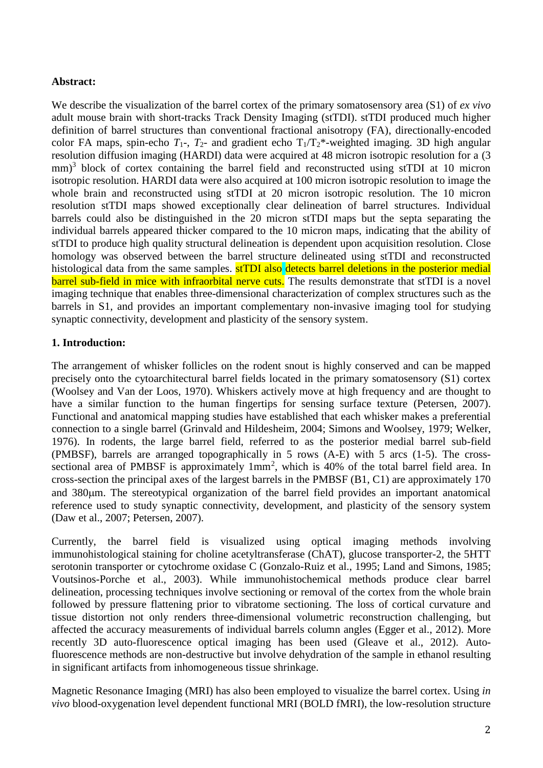## **Abstract:**

We describe the visualization of the barrel cortex of the primary somatosensory area (S1) of *ex vivo* adult mouse brain with short-tracks Track Density Imaging (stTDI). stTDI produced much higher definition of barrel structures than conventional fractional anisotropy (FA), directionally-encoded color FA maps, spin-echo  $T_1$ -,  $T_2$ - and gradient echo  $T_1/T_2$ \*-weighted imaging. 3D high angular resolution diffusion imaging (HARDI) data were acquired at 48 micron isotropic resolution for a (3 mm)<sup>3</sup> block of cortex containing the barrel field and reconstructed using stTDI at 10 micron isotropic resolution. HARDI data were also acquired at 100 micron isotropic resolution to image the whole brain and reconstructed using stTDI at 20 micron isotropic resolution. The 10 micron resolution stTDI maps showed exceptionally clear delineation of barrel structures. Individual barrels could also be distinguished in the 20 micron stTDI maps but the septa separating the individual barrels appeared thicker compared to the 10 micron maps, indicating that the ability of stTDI to produce high quality structural delineation is dependent upon acquisition resolution. Close homology was observed between the barrel structure delineated using stTDI and reconstructed histological data from the same samples. **stTDI** also detects barrel deletions in the posterior medial barrel sub-field in mice with infraorbital nerve cuts. The results demonstrate that stTDI is a novel imaging technique that enables three-dimensional characterization of complex structures such as the barrels in S1, and provides an important complementary non-invasive imaging tool for studying synaptic connectivity, development and plasticity of the sensory system.

## **1. Introduction:**

The arrangement of whisker follicles on the rodent snout is highly conserved and can be mapped precisely onto the cytoarchitectural barrel fields located in the primary somatosensory (S1) cortex [\(Woolsey and Van der Loos, 1970\)](#page-14-0). Whiskers actively move at high frequency and are thought to have a similar function to the human fingertips for sensing surface texture [\(Petersen, 2007\)](#page-13-0). Functional and anatomical mapping studies have established that each whisker makes a preferential connection to a single barrel [\(Grinvald and Hildesheim, 2004;](#page-13-1) [Simons and Woolsey, 1979;](#page-13-2) [Welker,](#page-13-3)  [1976\)](#page-13-3). In rodents, the large barrel field, referred to as the posterior medial barrel sub-field (PMBSF), barrels are arranged topographically in 5 rows (A-E) with 5 arcs (1-5). The crosssectional area of PMBSF is approximately  $1mm^2$ , which is 40% of the total barrel field area. In cross-section the principal axes of the largest barrels in the PMBSF (B1, C1) are approximately 170 and 380m. The stereotypical organization of the barrel field provides an important anatomical reference used to study synaptic connectivity, development, and plasticity of the sensory system [\(Daw et al., 2007;](#page-12-0) [Petersen, 2007\)](#page-13-0).

Currently, the barrel field is visualized using optical imaging methods involving immunohistological staining for choline acetyltransferase (ChAT), glucose transporter-2, the 5HTT serotonin transporter or cytochrome oxidase C [\(Gonzalo-Ruiz et al., 1995;](#page-13-4) [Land and Simons, 1985;](#page-13-5) [Voutsinos-Porche et al., 2003\)](#page-13-6). While immunohistochemical methods produce clear barrel delineation, processing techniques involve sectioning or removal of the cortex from the whole brain followed by pressure flattening prior to vibratome sectioning. The loss of cortical curvature and tissue distortion not only renders three-dimensional volumetric reconstruction challenging, but affected the accuracy measurements of individual barrels column angles [\(Egger et al., 2012\)](#page-12-1). More recently 3D auto-fluorescence optical imaging has been used [\(Gleave et al., 2012\)](#page-12-2). Autofluorescence methods are non-destructive but involve dehydration of the sample in ethanol resulting in significant artifacts from inhomogeneous tissue shrinkage.

Magnetic Resonance Imaging (MRI) has also been employed to visualize the barrel cortex. Using *in vivo* blood-oxygenation level dependent functional MRI (BOLD fMRI), the low-resolution structure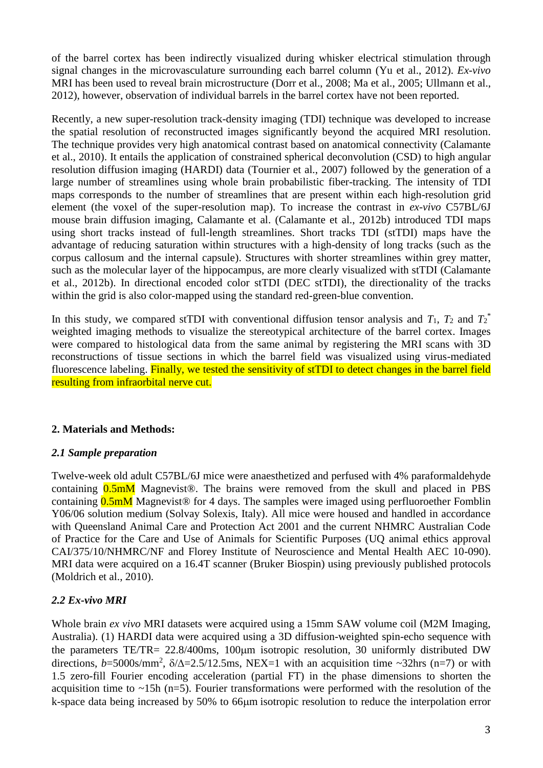of the barrel cortex has been indirectly visualized during whisker electrical stimulation through signal changes in the microvasculature surrounding each barrel column [\(Yu et al., 2012\)](#page-14-1). *Ex-vivo* MRI has been used to reveal brain microstructure [\(Dorr et al., 2008;](#page-12-3) [Ma et al., 2005;](#page-13-7) [Ullmann et al.,](#page-13-8)  [2012\)](#page-13-8), however, observation of individual barrels in the barrel cortex have not been reported.

Recently, a new super-resolution track-density imaging (TDI) technique was developed to increase the spatial resolution of reconstructed images significantly beyond the acquired MRI resolution. The technique provides very high anatomical contrast based on anatomical connectivity [\(Calamante](#page-12-4)  [et al., 2010\)](#page-12-4). It entails the application of constrained spherical deconvolution (CSD) to high angular resolution diffusion imaging (HARDI) data [\(Tournier et al., 2007\)](#page-13-9) followed by the generation of a large number of streamlines using whole brain probabilistic fiber-tracking. The intensity of TDI maps corresponds to the number of streamlines that are present within each high-resolution grid element (the voxel of the super-resolution map). To increase the contrast in *ex-vivo* C57BL/6J mouse brain diffusion imaging, Calamante et al. [\(Calamante et al., 2012b\)](#page-12-5) introduced TDI maps using short tracks instead of full-length streamlines. Short tracks TDI (stTDI) maps have the advantage of reducing saturation within structures with a high-density of long tracks (such as the corpus callosum and the internal capsule). Structures with shorter streamlines within grey matter, such as the molecular layer of the hippocampus, are more clearly visualized with stTDI [\(Calamante](#page-12-5)  [et al., 2012b\)](#page-12-5). In directional encoded color stTDI (DEC stTDI), the directionality of the tracks within the grid is also color-mapped using the standard red-green-blue convention.

In this study, we compared stTDI with conventional diffusion tensor analysis and  $T_1$ ,  $T_2$  and  $T_2^*$ weighted imaging methods to visualize the stereotypical architecture of the barrel cortex. Images were compared to histological data from the same animal by registering the MRI scans with 3D reconstructions of tissue sections in which the barrel field was visualized using virus-mediated fluorescence labeling. Finally, we tested the sensitivity of stTDI to detect changes in the barrel field resulting from infraorbital nerve cut.

# **2. Materials and Methods:**

# *2.1 Sample preparation*

Twelve-week old adult C57BL/6J mice were anaesthetized and perfused with 4% paraformaldehyde containing  $0.5 \text{m}$  Magnevist<sup>®</sup>. The brains were removed from the skull and placed in PBS containing  $0.5 \text{mM}$  Magnevist<sup>®</sup> for 4 days. The samples were imaged using perfluoroether Fomblin Y06/06 solution medium (Solvay Solexis, Italy). All mice were housed and handled in accordance with Queensland Animal Care and Protection Act 2001 and the current NHMRC Australian Code of Practice for the Care and Use of Animals for Scientific Purposes (UQ animal ethics approval CAI/375/10/NHMRC/NF and Florey Institute of Neuroscience and Mental Health AEC 10-090). MRI data were acquired on a 16.4T scanner (Bruker Biospin) using previously published protocols [\(Moldrich et al., 2010\)](#page-13-10).

# *2.2 Ex-vivo MRI*

Whole brain *ex vivo* MRI datasets were acquired using a 15mm SAW volume coil (M2M Imaging, Australia). (1) HARDI data were acquired using a 3D diffusion-weighted spin-echo sequence with the parameters TE/TR=  $22.8/400$ ms, 100 $\mu$ m isotropic resolution, 30 uniformly distributed DW directions,  $b=5000$ s/mm<sup>2</sup>,  $\delta/\Delta=2.5/12.5$ ms, NEX=1 with an acquisition time ~32hrs (n=7) or with 1.5 zero-fill Fourier encoding acceleration (partial FT) in the phase dimensions to shorten the acquisition time to  $\sim$ 15h (n=5). Fourier transformations were performed with the resolution of the k-space data being increased by 50% to 66 $\mu$ m isotropic resolution to reduce the interpolation error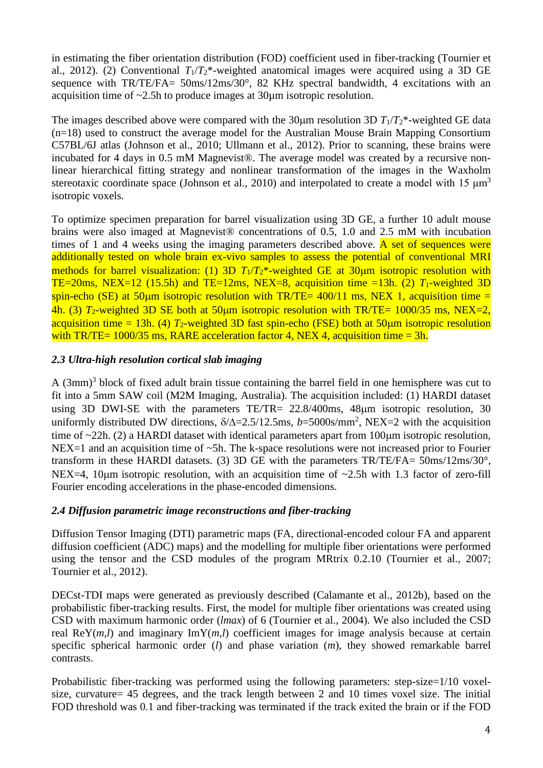in estimating the fiber orientation distribution (FOD) coefficient used in fiber-tracking [\(Tournier et](#page-13-11)  [al., 2012\)](#page-13-11). (2) Conventional  $T_1/T_2^*$ -weighted anatomical images were acquired using a 3D GE sequence with TR/TE/FA= 50ms/12ms/30°, 82 KHz spectral bandwidth, 4 excitations with an acquisition time of ~2.5h to produce images at 30µm isotropic resolution.

The images described above were compared with the 30 $\mu$ m resolution 3D  $T_1/T_2^*$ -weighted GE data (n=18) used to construct the average model for the Australian Mouse Brain Mapping Consortium C57BL/6J atlas [\(Johnson et al., 2010;](#page-13-12) [Ullmann et al., 2012\)](#page-13-8). Prior to scanning, these brains were incubated for 4 days in 0.5 mM Magnevist®. The average model was created by a recursive nonlinear hierarchical fitting strategy and nonlinear transformation of the images in the Waxholm stereotaxic coordinate space [\(Johnson et al., 2010\)](#page-13-12) and interpolated to create a model with 15  $\mu$ m<sup>3</sup> isotropic voxels.

To optimize specimen preparation for barrel visualization using 3D GE, a further 10 adult mouse brains were also imaged at Magnevist® concentrations of 0.5, 1.0 and 2.5 mM with incubation times of 1 and 4 weeks using the imaging parameters described above.  $\overline{A}$  set of sequences were additionally tested on whole brain ex-vivo samples to assess the potential of conventional MRI methods for barrel visualization: (1) 3D  $T_1/T_2^*$ -weighted GE at 30 $\mu$ m isotropic resolution with TE=20ms, NEX=12 (15.5h) and TE=12ms, NEX=8, acquisition time =13h. (2)  $T_1$ -weighted 3D spin-echo (SE) at 50 km isotropic resolution with TR/TE=  $400/11$  ms, NEX 1, acquisition time = 4h. (3)  $T_2$ -weighted 3D SE both at 50 km isotropic resolution with TR/TE= 1000/35 ms, NEX=2, acquisition time = 13h. (4)  $T_2$ -weighted 3D fast spin-echo (FSE) both at 50 $\mu$ m isotropic resolution with TR/TE=  $1000/35$  ms, RARE acceleration factor 4, NEX 4, acquisition time = 3h.

### *2.3 Ultra-high resolution cortical slab imaging*

A (3mm) 3 block of fixed adult brain tissue containing the barrel field in one hemisphere was cut to fit into a 5mm SAW coil (M2M Imaging, Australia). The acquisition included: (1) HARDI dataset using 3D DWI-SE with the parameters  $TE/TR = 22.8/400$ ms, 48 $\mu$ m isotropic resolution, 30 uniformly distributed DW directions,  $\delta/\Delta = 2.5/12.5$ ms,  $b = 5000$ s/mm<sup>2</sup>, NEX=2 with the acquisition time of  $\sim$ 22h. (2) a HARDI dataset with identical parameters apart from 100 $\mu$ m isotropic resolution, NEX=1 and an acquisition time of ~5h. The k-space resolutions were not increased prior to Fourier transform in these HARDI datasets. (3) 3D GE with the parameters TR/TE/FA= 50ms/12ms/30°, NEX=4, 10 $\mu$ m isotropic resolution, with an acquisition time of  $\sim$ 2.5h with 1.3 factor of zero-fill Fourier encoding accelerations in the phase-encoded dimensions.

### *2.4 Diffusion parametric image reconstructions and fiber-tracking*

Diffusion Tensor Imaging (DTI) parametric maps (FA, directional-encoded colour FA and apparent diffusion coefficient (ADC) maps) and the modelling for multiple fiber orientations were performed using the tensor and the CSD modules of the program MRtrix 0.2.10 [\(Tournier et al., 2007;](#page-13-9) [Tournier et al., 2012\)](#page-13-11).

DECst-TDI maps were generated as previously described [\(Calamante et al., 2012b\)](#page-12-5), based on the probabilistic fiber-tracking results. First, the model for multiple fiber orientations was created using CSD with maximum harmonic order (*lmax*) of 6 [\(Tournier et al., 2004\)](#page-13-13). We also included the CSD real ReY $(m,l)$  and imaginary ImY $(m,l)$  coefficient images for image analysis because at certain specific spherical harmonic order (*l*) and phase variation (*m*), they showed remarkable barrel contrasts.

Probabilistic fiber-tracking was performed using the following parameters: step-size=1/10 voxelsize, curvature= 45 degrees, and the track length between 2 and 10 times voxel size. The initial FOD threshold was 0.1 and fiber-tracking was terminated if the track exited the brain or if the FOD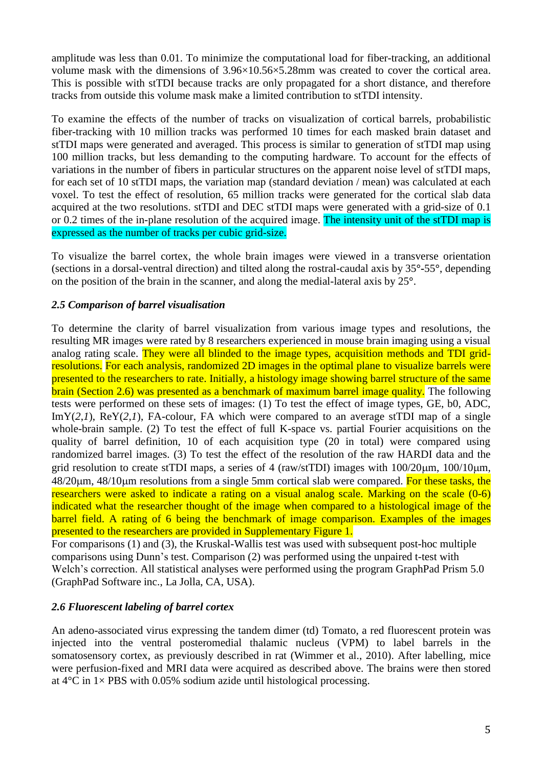amplitude was less than 0.01. To minimize the computational load for fiber-tracking, an additional volume mask with the dimensions of 3.96×10.56×5.28mm was created to cover the cortical area. This is possible with stTDI because tracks are only propagated for a short distance, and therefore tracks from outside this volume mask make a limited contribution to stTDI intensity.

To examine the effects of the number of tracks on visualization of cortical barrels, probabilistic fiber-tracking with 10 million tracks was performed 10 times for each masked brain dataset and stTDI maps were generated and averaged. This process is similar to generation of stTDI map using 100 million tracks, but less demanding to the computing hardware. To account for the effects of variations in the number of fibers in particular structures on the apparent noise level of stTDI maps, for each set of 10 stTDI maps, the variation map (standard deviation / mean) was calculated at each voxel. To test the effect of resolution, 65 million tracks were generated for the cortical slab data acquired at the two resolutions. stTDI and DEC stTDI maps were generated with a grid-size of 0.1 or 0.2 times of the in-plane resolution of the acquired image. The intensity unit of the stTDI map is expressed as the number of tracks per cubic grid-size.

To visualize the barrel cortex, the whole brain images were viewed in a transverse orientation (sections in a dorsal-ventral direction) and tilted along the rostral-caudal axis by 35**°-**55**°**, depending on the position of the brain in the scanner, and along the medial-lateral axis by 25**°**.

# *2.5 Comparison of barrel visualisation*

To determine the clarity of barrel visualization from various image types and resolutions, the resulting MR images were rated by 8 researchers experienced in mouse brain imaging using a visual analog rating scale. They were all blinded to the image types, acquisition methods and TDI gridresolutions. For each analysis, randomized 2D images in the optimal plane to visualize barrels were presented to the researchers to rate. Initially, a histology image showing barrel structure of the same brain (Section 2.6) was presented as a benchmark of maximum barrel image quality. The following tests were performed on these sets of images: (1) To test the effect of image types, GE, b0, ADC, ImY(*2*,*1*), ReY(*2*,*1*), FA-colour, FA which were compared to an average stTDI map of a single whole-brain sample. (2) To test the effect of full K-space vs. partial Fourier acquisitions on the quality of barrel definition, 10 of each acquisition type (20 in total) were compared using randomized barrel images. (3) To test the effect of the resolution of the raw HARDI data and the grid resolution to create stTDI maps, a series of 4 (raw/stTDI) images with  $100/20 \mu m$ ,  $100/10 \mu m$ ,  $48/20\mu$ m,  $48/10\mu$ m resolutions from a single 5mm cortical slab were compared. For these tasks, the researchers were asked to indicate a rating on a visual analog scale. Marking on the scale (0-6) indicated what the researcher thought of the image when compared to a histological image of the barrel field. A rating of 6 being the benchmark of image comparison. Examples of the images presented to the researchers are provided in Supplementary Figure 1.

For comparisons (1) and (3), the Kruskal-Wallis test was used with subsequent post-hoc multiple comparisons using Dunn's test. Comparison (2) was performed using the unpaired t-test with Welch's correction. All statistical analyses were performed using the program GraphPad Prism 5.0 (GraphPad Software inc., La Jolla, CA, USA).

# *2.6 Fluorescent labeling of barrel cortex*

An adeno-associated virus expressing the tandem dimer (td) Tomato, a red fluorescent protein was injected into the ventral posteromedial thalamic nucleus (VPM) to label barrels in the somatosensory cortex, as previously described in rat [\(Wimmer et al., 2010\)](#page-14-2). After labelling, mice were perfusion-fixed and MRI data were acquired as described above. The brains were then stored at  $4^{\circ}$ C in  $1 \times$  PBS with 0.05% sodium azide until histological processing.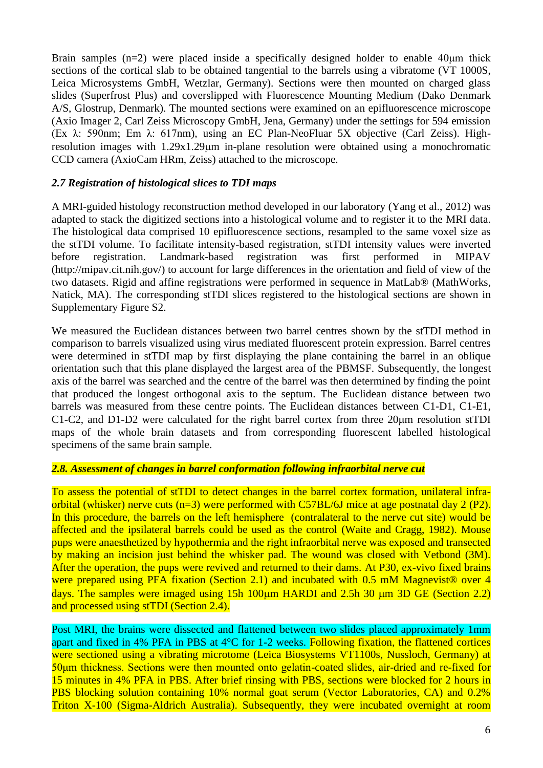Brain samples (n=2) were placed inside a specifically designed holder to enable 40μm thick sections of the cortical slab to be obtained tangential to the barrels using a vibratome (VT 1000S, Leica Microsystems GmbH, Wetzlar, Germany). Sections were then mounted on charged glass slides (Superfrost Plus) and coverslipped with Fluorescence Mounting Medium (Dako Denmark A/S, Glostrup, Denmark). The mounted sections were examined on an epifluorescence microscope (Axio Imager 2, Carl Zeiss Microscopy GmbH, Jena, Germany) under the settings for 594 emission (Ex λ: 590nm; Em λ: 617nm), using an EC Plan-NeoFluar 5X objective (Carl Zeiss). Highresolution images with 1.29x1.29 $\mu$ m in-plane resolution were obtained using a monochromatic CCD camera (AxioCam HRm, Zeiss) attached to the microscope.

#### *2.7 Registration of histological slices to TDI maps*

A MRI-guided histology reconstruction method developed in our laboratory [\(Yang et al., 2012\)](#page-14-3) was adapted to stack the digitized sections into a histological volume and to register it to the MRI data. The histological data comprised 10 epifluorescence sections, resampled to the same voxel size as the stTDI volume. To facilitate intensity-based registration, stTDI intensity values were inverted before registration. Landmark-based registration was first performed in MIPAV (http://mipav.cit.nih.gov/) to account for large differences in the orientation and field of view of the two datasets. Rigid and affine registrations were performed in sequence in MatLab® (MathWorks, Natick, MA). The corresponding stTDI slices registered to the histological sections are shown in Supplementary Figure S2.

We measured the Euclidean distances between two barrel centres shown by the stTDI method in comparison to barrels visualized using virus mediated fluorescent protein expression. Barrel centres were determined in stTDI map by first displaying the plane containing the barrel in an oblique orientation such that this plane displayed the largest area of the PBMSF. Subsequently, the longest axis of the barrel was searched and the centre of the barrel was then determined by finding the point that produced the longest orthogonal axis to the septum. The Euclidean distance between two barrels was measured from these centre points. The Euclidean distances between C1-D1, C1-E1, C1-C2, and D1-D2 were calculated for the right barrel cortex from three  $20\mu m$  resolution stTDI maps of the whole brain datasets and from corresponding fluorescent labelled histological specimens of the same brain sample.

## *2.8. Assessment of changes in barrel conformation following infraorbital nerve cut*

To assess the potential of stTDI to detect changes in the barrel cortex formation, unilateral infraorbital (whisker) nerve cuts (n=3) were performed with C57BL/6J mice at age postnatal day 2 (P2). In this procedure, the barrels on the left hemisphere (contralateral to the nerve cut site) would be affected and the ipsilateral barrels could be used as the control [\(Waite and Cragg, 1982\)](#page-13-14). Mouse pups were anaesthetized by hypothermia and the right infraorbital nerve was exposed and transected by making an incision just behind the whisker pad. The wound was closed with Vetbond (3M). After the operation, the pups were revived and returned to their dams. At P30, ex-vivo fixed brains were prepared using PFA fixation (Section 2.1) and incubated with 0.5 mM Magnevist<sup>®</sup> over 4 days. The samples were imaged using 15h  $100 \mu m$  HARDI and 2.5h 30  $\mu m$  3D GE (Section 2.2) and processed using stTDI (Section 2.4).

Post MRI, the brains were dissected and flattened between two slides placed approximately 1mm apart and fixed in 4% PFA in PBS at 4°C for 1-2 weeks. Following fixation, the flattened cortices were sectioned using a vibrating microtome (Leica Biosystems VT1100s, Nussloch, Germany) at 50μm thickness. Sections were then mounted onto gelatin-coated slides, air-dried and re-fixed for 15 minutes in 4% PFA in PBS. After brief rinsing with PBS, sections were blocked for 2 hours in PBS blocking solution containing 10% normal goat serum (Vector Laboratories, CA) and 0.2% Triton X-100 (Sigma-Aldrich Australia). Subsequently, they were incubated overnight at room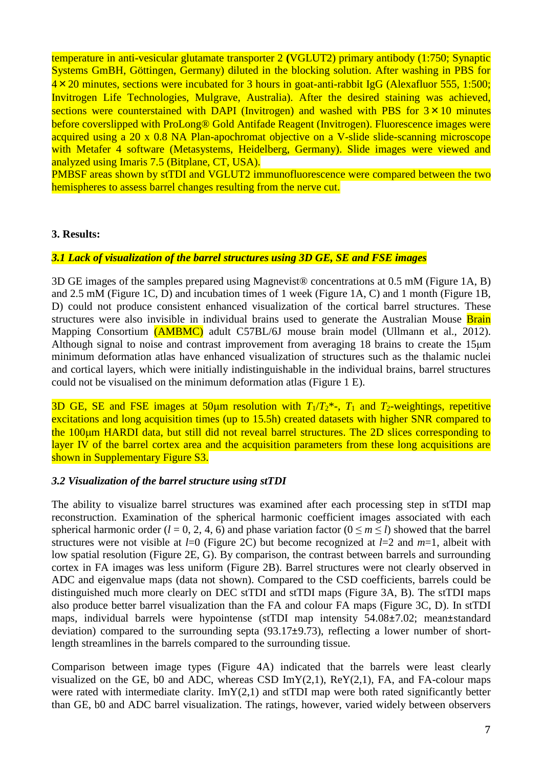temperature in anti-vesicular glutamate transporter 2 **(**VGLUT2) primary antibody (1:750; Synaptic Systems GmBH, Göttingen, Germany) diluted in the blocking solution. After washing in PBS for  $4 \times 20$  minutes, sections were incubated for 3 hours in goat-anti-rabbit IgG (Alexafluor 555, 1:500; Invitrogen Life Technologies, Mulgrave, Australia). After the desired staining was achieved, sections were counterstained with DAPI (Invitrogen) and washed with PBS for  $3 \times 10$  minutes before coverslipped with ProLong<sup>®</sup> Gold Antifade Reagent (Invitrogen). Fluorescence images were acquired using a 20 x 0.8 NA Plan-apochromat objective on a V-slide slide-scanning microscope with Metafer 4 software (Metasystems, Heidelberg, Germany). Slide images were viewed and analyzed using Imaris 7.5 (Bitplane, CT, USA).

PMBSF areas shown by stTDI and VGLUT2 immunofluorescence were compared between the two hemispheres to assess barrel changes resulting from the nerve cut.

#### **3. Results:**

#### *3.1 Lack of visualization of the barrel structures using 3D GE, SE and FSE images*

3D GE images of the samples prepared using Magnevist® concentrations at 0.5 mM (Figure 1A, B) and 2.5 mM (Figure 1C, D) and incubation times of 1 week (Figure 1A, C) and 1 month (Figure 1B, D) could not produce consistent enhanced visualization of the cortical barrel structures. These structures were also invisible in individual brains used to generate the Australian Mouse Brain Mapping Consortium (**AMBMC**) adult C57BL/6J mouse brain model [\(Ullmann et al., 2012\)](#page-13-8). Although signal to noise and contrast improvement from averaging 18 brains to create the 15μm minimum deformation atlas have enhanced visualization of structures such as the thalamic nuclei and cortical layers, which were initially indistinguishable in the individual brains, barrel structures could not be visualised on the minimum deformation atlas (Figure 1 E).

3D GE, SE and FSE images at 50 km resolution with  $T_1/T_2^*$ -,  $T_1$  and  $T_2$ -weightings, repetitive excitations and long acquisition times (up to 15.5h) created datasets with higher SNR compared to the 100um HARDI data, but still did not reveal barrel structures. The 2D slices corresponding to layer IV of the barrel cortex area and the acquisition parameters from these long acquisitions are shown in Supplementary Figure S3.

#### *3.2 Visualization of the barrel structure using stTDI*

The ability to visualize barrel structures was examined after each processing step in stTDI map reconstruction. Examination of the spherical harmonic coefficient images associated with each spherical harmonic order ( $l = 0, 2, 4, 6$ ) and phase variation factor ( $0 \le m \le l$ ) showed that the barrel structures were not visible at *l*=0 (Figure 2C) but become recognized at *l*=2 and *m*=1, albeit with low spatial resolution (Figure 2E, G). By comparison, the contrast between barrels and surrounding cortex in FA images was less uniform (Figure 2B). Barrel structures were not clearly observed in ADC and eigenvalue maps (data not shown). Compared to the CSD coefficients, barrels could be distinguished much more clearly on DEC stTDI and stTDI maps (Figure 3A, B). The stTDI maps also produce better barrel visualization than the FA and colour FA maps (Figure 3C, D). In stTDI maps, individual barrels were hypointense (stTDI map intensity 54.08±7.02; mean±standard deviation) compared to the surrounding septa (93.17±9.73), reflecting a lower number of shortlength streamlines in the barrels compared to the surrounding tissue.

Comparison between image types (Figure 4A) indicated that the barrels were least clearly visualized on the GE, b0 and ADC, whereas CSD  $ImY(2,1)$ , ReY(2,1), FA, and FA-colour maps were rated with intermediate clarity.  $ImY(2,1)$  and stTDI map were both rated significantly better than GE, b0 and ADC barrel visualization. The ratings, however, varied widely between observers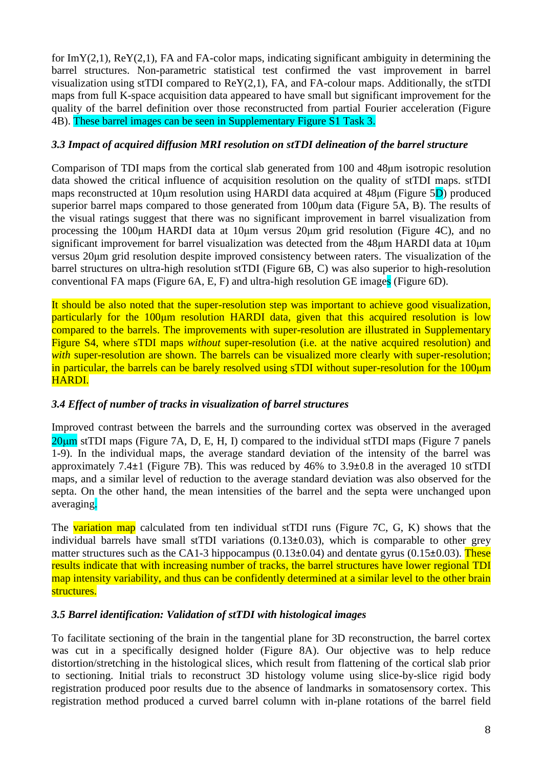for  $ImY(2,1)$ ,  $ReY(2,1)$ ,  $FA$  and  $FA$ -color maps, indicating significant ambiguity in determining the barrel structures. Non-parametric statistical test confirmed the vast improvement in barrel visualization using stTDI compared to ReY(2,1), FA, and FA-colour maps. Additionally, the stTDI maps from full K-space acquisition data appeared to have small but significant improvement for the quality of the barrel definition over those reconstructed from partial Fourier acceleration (Figure 4B). These barrel images can be seen in Supplementary Figure S1 Task 3.

### *3.3 Impact of acquired diffusion MRI resolution on stTDI delineation of the barrel structure*

Comparison of TDI maps from the cortical slab generated from 100 and 48μm isotropic resolution data showed the critical influence of acquisition resolution on the quality of stTDI maps. stTDI maps reconstructed at 10μm resolution using HARDI data acquired at 48μm (Figure 5D) produced superior barrel maps compared to those generated from 100μm data (Figure 5A, B). The results of the visual ratings suggest that there was no significant improvement in barrel visualization from processing the 100μm HARDI data at 10μm versus 20μm grid resolution (Figure 4C), and no significant improvement for barrel visualization was detected from the 48μm HARDI data at 10μm versus 20μm grid resolution despite improved consistency between raters. The visualization of the barrel structures on ultra-high resolution stTDI (Figure 6B, C) was also superior to high-resolution conventional FA maps (Figure 6A, E, F) and ultra-high resolution GE images (Figure 6D).

It should be also noted that the super-resolution step was important to achieve good visualization, particularly for the 100<sub>u</sub>m resolution HARDI data, given that this acquired resolution is low compared to the barrels. The improvements with super-resolution are illustrated in Supplementary Figure S4, where sTDI maps *without* super-resolution (i.e. at the native acquired resolution) and *with* super-resolution are shown. The barrels can be visualized more clearly with super-resolution; in particular, the barrels can be barely resolved using sTDI without super-resolution for the 100μm HARDI.

# *3.4 Effect of number of tracks in visualization of barrel structures*

Improved contrast between the barrels and the surrounding cortex was observed in the averaged  $20\mu$ m stTDI maps (Figure 7A, D, E, H, I) compared to the individual stTDI maps (Figure 7 panels 1-9). In the individual maps, the average standard deviation of the intensity of the barrel was approximately 7.4±1 (Figure 7B). This was reduced by 46% to 3.9±0.8 in the averaged 10 stTDI maps, and a similar level of reduction to the average standard deviation was also observed for the septa. On the other hand, the mean intensities of the barrel and the septa were unchanged upon averaging.

The variation map calculated from ten individual stTDI runs (Figure 7C, G, K) shows that the individual barrels have small stTDI variations  $(0.13\pm0.03)$ , which is comparable to other grey matter structures such as the CA1-3 hippocampus  $(0.13\pm0.04)$  and dentate gyrus  $(0.15\pm0.03)$ . These results indicate that with increasing number of tracks, the barrel structures have lower regional TDI map intensity variability, and thus can be confidently determined at a similar level to the other brain structures.

### *3.5 Barrel identification: Validation of stTDI with histological images*

To facilitate sectioning of the brain in the tangential plane for 3D reconstruction, the barrel cortex was cut in a specifically designed holder (Figure 8A). Our objective was to help reduce distortion/stretching in the histological slices, which result from flattening of the cortical slab prior to sectioning. Initial trials to reconstruct 3D histology volume using slice-by-slice rigid body registration produced poor results due to the absence of landmarks in somatosensory cortex. This registration method produced a curved barrel column with in-plane rotations of the barrel field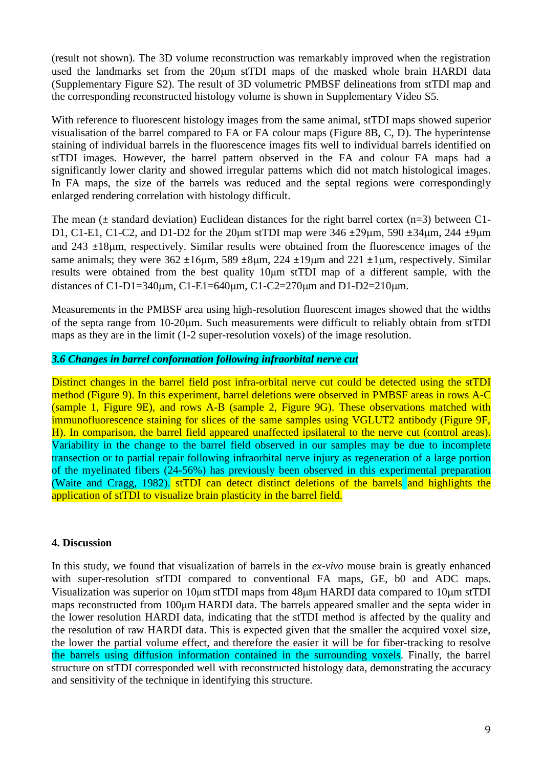(result not shown). The 3D volume reconstruction was remarkably improved when the registration used the landmarks set from the 20 $\mu$ m stTDI maps of the masked whole brain HARDI data (Supplementary Figure S2). The result of 3D volumetric PMBSF delineations from stTDI map and the corresponding reconstructed histology volume is shown in Supplementary Video S5.

With reference to fluorescent histology images from the same animal, stTDI maps showed superior visualisation of the barrel compared to FA or FA colour maps (Figure 8B, C, D). The hyperintense staining of individual barrels in the fluorescence images fits well to individual barrels identified on stTDI images. However, the barrel pattern observed in the FA and colour FA maps had a significantly lower clarity and showed irregular patterns which did not match histological images. In FA maps, the size of the barrels was reduced and the septal regions were correspondingly enlarged rendering correlation with histology difficult.

The mean  $(\pm$  standard deviation) Euclidean distances for the right barrel cortex (n=3) between C1-D1, C1-E1, C1-C2, and D1-D2 for the 20 $\mu$ m stTDI map were 346  $\pm 29 \mu$ m, 590  $\pm 34 \mu$ m, 244  $\pm 9 \mu$ m and  $243 \pm 18$  $\mu$ m, respectively. Similar results were obtained from the fluorescence images of the same animals; they were  $362 \pm 16 \mu m$ ,  $589 \pm 8 \mu m$ ,  $224 \pm 19 \mu m$  and  $221 \pm 1 \mu m$ , respectively. Similar results were obtained from the best quality 10μm stTDI map of a different sample, with the distances of C1-D1=340um, C1-E1=640um, C1-C2=270um and D1-D2=210um.

Measurements in the PMBSF area using high-resolution fluorescent images showed that the widths of the septa range from 10-20m. Such measurements were difficult to reliably obtain from stTDI maps as they are in the limit (1-2 super-resolution voxels) of the image resolution.

#### *3.6 Changes in barrel conformation following infraorbital nerve cut*

Distinct changes in the barrel field post infra-orbital nerve cut could be detected using the stTDI method (Figure 9). In this experiment, barrel deletions were observed in PMBSF areas in rows A-C (sample 1, Figure 9E), and rows A-B (sample 2, Figure 9G). These observations matched with immunofluorescence staining for slices of the same samples using VGLUT2 antibody (Figure 9F, H). In comparison, the barrel field appeared unaffected ipsilateral to the nerve cut (control areas). Variability in the change to the barrel field observed in our samples may be due to incomplete transection or to partial repair following infraorbital nerve injury as regeneration of a large portion of the myelinated fibers (24-56%) has previously been observed in this experimental preparation [\(Waite and Cragg, 1982\)](#page-13-14). stTDI can detect distinct deletions of the barrels and highlights the application of stTDI to visualize brain plasticity in the barrel field.

#### **4. Discussion**

In this study, we found that visualization of barrels in the *ex-vivo* mouse brain is greatly enhanced with super-resolution stTDI compared to conventional FA maps, GE, b0 and ADC maps. Visualization was superior on 10μm stTDI maps from 48μm HARDI data compared to 10μm stTDI maps reconstructed from 100μm HARDI data. The barrels appeared smaller and the septa wider in the lower resolution HARDI data, indicating that the stTDI method is affected by the quality and the resolution of raw HARDI data. This is expected given that the smaller the acquired voxel size, the lower the partial volume effect, and therefore the easier it will be for fiber-tracking to resolve the barrels using diffusion information contained in the surrounding voxels. Finally, the barrel structure on stTDI corresponded well with reconstructed histology data, demonstrating the accuracy and sensitivity of the technique in identifying this structure.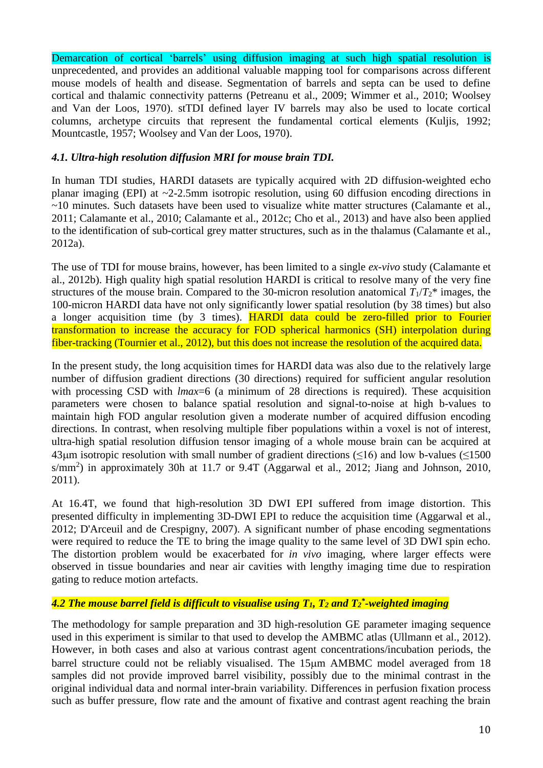Demarcation of cortical 'barrels' using diffusion imaging at such high spatial resolution is unprecedented, and provides an additional valuable mapping tool for comparisons across different mouse models of health and disease. Segmentation of barrels and septa can be used to define cortical and thalamic connectivity patterns [\(Petreanu et al., 2009;](#page-13-15) [Wimmer et al., 2010;](#page-14-2) [Woolsey](#page-14-0)  [and Van der Loos, 1970\)](#page-14-0). stTDI defined layer IV barrels may also be used to locate cortical columns, archetype circuits that represent the fundamental cortical elements [\(Kuljis, 1992;](#page-13-16) [Mountcastle, 1957;](#page-13-17) [Woolsey and Van der Loos, 1970\)](#page-14-0).

### *4.1. Ultra-high resolution diffusion MRI for mouse brain TDI.*

In human TDI studies, HARDI datasets are typically acquired with 2D diffusion-weighted echo planar imaging (EPI) at ~2-2.5mm isotropic resolution, using 60 diffusion encoding directions in ~10 minutes. Such datasets have been used to visualize white matter structures [\(Calamante et al.,](#page-12-6)  [2011;](#page-12-6) [Calamante et al., 2010;](#page-12-4) [Calamante et al., 2012c;](#page-12-7) [Cho et al., 2013\)](#page-12-8) and have also been applied to the identification of sub-cortical grey matter structures, such as in the thalamus [\(Calamante et al.,](#page-12-9)  [2012a\)](#page-12-9).

The use of TDI for mouse brains, however, has been limited to a single *ex-vivo* study [\(Calamante et](#page-12-5)  [al., 2012b\)](#page-12-5). High quality high spatial resolution HARDI is critical to resolve many of the very fine structures of the mouse brain. Compared to the 30-micron resolution anatomical  $T_1/T_2$ <sup>\*</sup> images, the 100-micron HARDI data have not only significantly lower spatial resolution (by 38 times) but also a longer acquisition time (by 3 times). **HARDI** data could be zero-filled prior to Fourier transformation to increase the accuracy for FOD spherical harmonics (SH) interpolation during fiber-tracking [\(Tournier et al., 2012\)](#page-13-11), but this does not increase the resolution of the acquired data.

In the present study, the long acquisition times for HARDI data was also due to the relatively large number of diffusion gradient directions (30 directions) required for sufficient angular resolution with processing CSD with *lmax*=6 (a minimum of 28 directions is required). These acquisition parameters were chosen to balance spatial resolution and signal-to-noise at high b-values to maintain high FOD angular resolution given a moderate number of acquired diffusion encoding directions. In contrast, when resolving multiple fiber populations within a voxel is not of interest, ultra-high spatial resolution diffusion tensor imaging of a whole mouse brain can be acquired at 43um isotropic resolution with small number of gradient directions  $(516)$  and low b-values  $(51500)$ s/mm<sup>2</sup>) in approximately 30h at 11.7 or 9.4T [\(Aggarwal et al., 2012;](#page-12-10) [Jiang and Johnson, 2010,](#page-13-18) [2011\)](#page-13-19).

At 16.4T, we found that high-resolution 3D DWI EPI suffered from image distortion. This presented difficulty in implementing 3D-DWI EPI to reduce the acquisition time [\(Aggarwal et al.,](#page-12-10) [2012;](#page-12-10) [D'Arceuil and de Crespigny, 2007\)](#page-12-11). A significant number of phase encoding segmentations were required to reduce the TE to bring the image quality to the same level of 3D DWI spin echo. The distortion problem would be exacerbated for *in vivo* imaging, where larger effects were observed in tissue boundaries and near air cavities with lengthy imaging time due to respiration gating to reduce motion artefacts.

# *4.2 The mouse barrel field is difficult to visualise using T1, T<sup>2</sup> and T<sup>2</sup> \* -weighted imaging*

The methodology for sample preparation and 3D high-resolution GE parameter imaging sequence used in this experiment is similar to that used to develop the AMBMC atlas [\(Ullmann et al., 2012\)](#page-13-8). However, in both cases and also at various contrast agent concentrations/incubation periods, the barrel structure could not be reliably visualised. The 15µm AMBMC model averaged from 18 samples did not provide improved barrel visibility, possibly due to the minimal contrast in the original individual data and normal inter-brain variability. Differences in perfusion fixation process such as buffer pressure, flow rate and the amount of fixative and contrast agent reaching the brain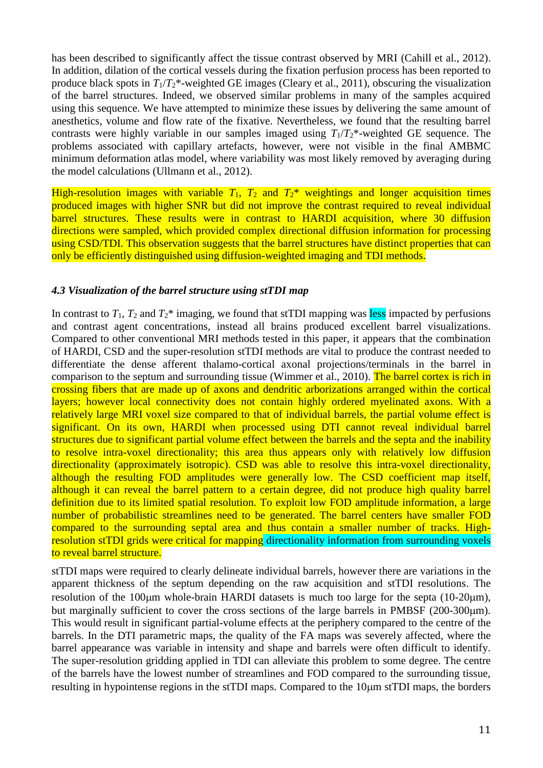has been described to significantly affect the tissue contrast observed by MRI [\(Cahill et al., 2012\)](#page-12-12). In addition, dilation of the cortical vessels during the fixation perfusion process has been reported to produce black spots in *T*1/*T*2\*-weighted GE images [\(Cleary et al., 2011\)](#page-12-13), obscuring the visualization of the barrel structures. Indeed, we observed similar problems in many of the samples acquired using this sequence. We have attempted to minimize these issues by delivering the same amount of anesthetics, volume and flow rate of the fixative. Nevertheless, we found that the resulting barrel contrasts were highly variable in our samples imaged using *T*1/*T*2\*-weighted GE sequence. The problems associated with capillary artefacts, however, were not visible in the final AMBMC minimum deformation atlas model, where variability was most likely removed by averaging during the model calculations [\(Ullmann et al., 2012\)](#page-13-8).

High-resolution images with variable  $T_1$ ,  $T_2$  and  $T_2^*$  weightings and longer acquisition times produced images with higher SNR but did not improve the contrast required to reveal individual barrel structures. These results were in contrast to HARDI acquisition, where 30 diffusion directions were sampled, which provided complex directional diffusion information for processing using CSD/TDI. This observation suggests that the barrel structures have distinct properties that can only be efficiently distinguished using diffusion-weighted imaging and TDI methods.

#### *4.3 Visualization of the barrel structure using stTDI map*

In contrast to  $T_1$ ,  $T_2$  and  $T_2^*$  imaging, we found that stTDI mapping was less impacted by perfusions and contrast agent concentrations, instead all brains produced excellent barrel visualizations. Compared to other conventional MRI methods tested in this paper, it appears that the combination of HARDI, CSD and the super-resolution stTDI methods are vital to produce the contrast needed to differentiate the dense afferent thalamo-cortical axonal projections/terminals in the barrel in comparison to the septum and surrounding tissue [\(Wimmer et al., 2010\)](#page-14-2). The barrel cortex is rich in crossing fibers that are made up of axons and dendritic arborizations arranged within the cortical layers; however local connectivity does not contain highly ordered myelinated axons. With a relatively large MRI voxel size compared to that of individual barrels, the partial volume effect is significant. On its own, HARDI when processed using DTI cannot reveal individual barrel structures due to significant partial volume effect between the barrels and the septa and the inability to resolve intra-voxel directionality; this area thus appears only with relatively low diffusion directionality (approximately isotropic). CSD was able to resolve this intra-voxel directionality, although the resulting FOD amplitudes were generally low. The CSD coefficient map itself, although it can reveal the barrel pattern to a certain degree, did not produce high quality barrel definition due to its limited spatial resolution. To exploit low FOD amplitude information, a large number of probabilistic streamlines need to be generated. The barrel centers have smaller FOD compared to the surrounding septal area and thus contain a smaller number of tracks. Highresolution stTDI grids were critical for mapping directionality information from surrounding voxels to reveal barrel structure.

stTDI maps were required to clearly delineate individual barrels, however there are variations in the apparent thickness of the septum depending on the raw acquisition and stTDI resolutions. The resolution of the 100um whole-brain HARDI datasets is much too large for the septa (10-20um), but marginally sufficient to cover the cross sections of the large barrels in PMBSF (200-300 $\mu$ m). This would result in significant partial-volume effects at the periphery compared to the centre of the barrels. In the DTI parametric maps, the quality of the FA maps was severely affected, where the barrel appearance was variable in intensity and shape and barrels were often difficult to identify. The super-resolution gridding applied in TDI can alleviate this problem to some degree. The centre of the barrels have the lowest number of streamlines and FOD compared to the surrounding tissue, resulting in hypointense regions in the stTDI maps. Compared to the  $10\mu m$  stTDI maps, the borders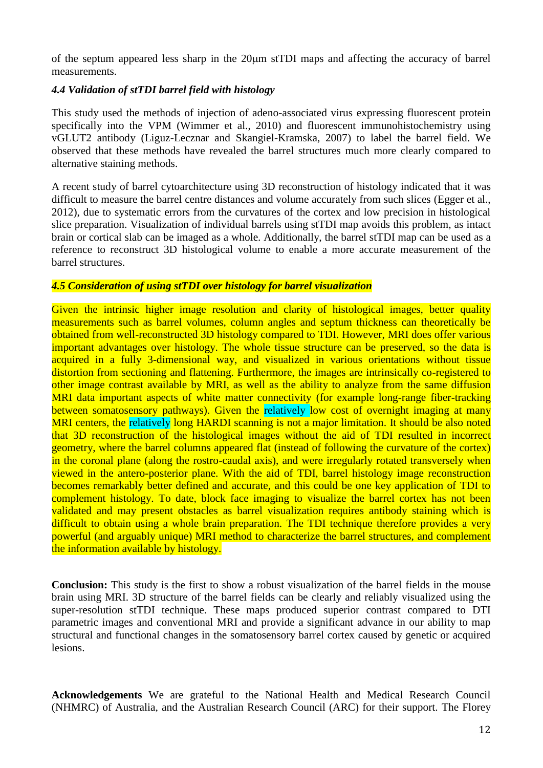of the septum appeared less sharp in the  $20\mu m$  stTDI maps and affecting the accuracy of barrel measurements.

#### *4.4 Validation of stTDI barrel field with histology*

This study used the methods of injection of adeno-associated virus expressing fluorescent protein specifically into the VPM [\(Wimmer et al., 2010\)](#page-14-2) and fluorescent immunohistochemistry using vGLUT2 antibody [\(Liguz-Lecznar and Skangiel-Kramska, 2007\)](#page-13-20) to label the barrel field. We observed that these methods have revealed the barrel structures much more clearly compared to alternative staining methods.

A recent study of barrel cytoarchitecture using 3D reconstruction of histology indicated that it was difficult to measure the barrel centre distances and volume accurately from such slices [\(Egger et al.,](#page-12-1)  [2012\)](#page-12-1), due to systematic errors from the curvatures of the cortex and low precision in histological slice preparation. Visualization of individual barrels using stTDI map avoids this problem, as intact brain or cortical slab can be imaged as a whole. Additionally, the barrel stTDI map can be used as a reference to reconstruct 3D histological volume to enable a more accurate measurement of the barrel structures.

#### *4.5 Consideration of using stTDI over histology for barrel visualization*

Given the intrinsic higher image resolution and clarity of histological images, better quality measurements such as barrel volumes, column angles and septum thickness can theoretically be obtained from well-reconstructed 3D histology compared to TDI. However, MRI does offer various important advantages over histology. The whole tissue structure can be preserved, so the data is acquired in a fully 3-dimensional way, and visualized in various orientations without tissue distortion from sectioning and flattening. Furthermore, the images are intrinsically co-registered to other image contrast available by MRI, as well as the ability to analyze from the same diffusion MRI data important aspects of white matter connectivity (for example long-range fiber-tracking between somatosensory pathways). Given the relatively low cost of overnight imaging at many MRI centers, the relatively long HARDI scanning is not a major limitation. It should be also noted that 3D reconstruction of the histological images without the aid of TDI resulted in incorrect geometry, where the barrel columns appeared flat (instead of following the curvature of the cortex) in the coronal plane (along the rostro-caudal axis), and were irregularly rotated transversely when viewed in the antero-posterior plane. With the aid of TDI, barrel histology image reconstruction becomes remarkably better defined and accurate, and this could be one key application of TDI to complement histology. To date, block face imaging to visualize the barrel cortex has not been validated and may present obstacles as barrel visualization requires antibody staining which is difficult to obtain using a whole brain preparation. The TDI technique therefore provides a very powerful (and arguably unique) MRI method to characterize the barrel structures, and complement the information available by histology.

**Conclusion:** This study is the first to show a robust visualization of the barrel fields in the mouse brain using MRI. 3D structure of the barrel fields can be clearly and reliably visualized using the super-resolution stTDI technique. These maps produced superior contrast compared to DTI parametric images and conventional MRI and provide a significant advance in our ability to map structural and functional changes in the somatosensory barrel cortex caused by genetic or acquired lesions.

**Acknowledgements** We are grateful to the National Health and Medical Research Council (NHMRC) of Australia, and the Australian Research Council (ARC) for their support. The Florey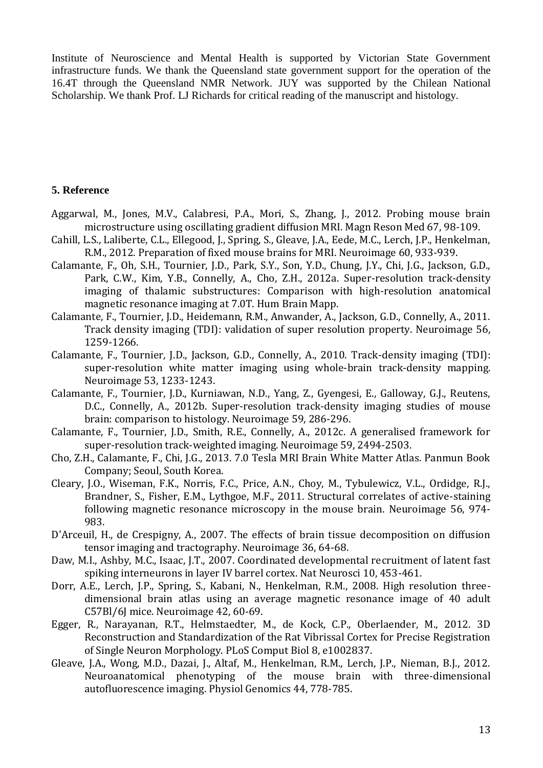Institute of Neuroscience and Mental Health is supported by Victorian State Government infrastructure funds. We thank the Queensland state government support for the operation of the 16.4T through the Queensland NMR Network. JUY was supported by the Chilean National Scholarship. We thank Prof. LJ Richards for critical reading of the manuscript and histology.

#### **5. Reference**

- <span id="page-12-10"></span>Aggarwal, M., Jones, M.V., Calabresi, P.A., Mori, S., Zhang, J., 2012. Probing mouse brain microstructure using oscillating gradient diffusion MRI. Magn Reson Med 67, 98-109.
- <span id="page-12-12"></span>Cahill, L.S., Laliberte, C.L., Ellegood, J., Spring, S., Gleave, J.A., Eede, M.C., Lerch, J.P., Henkelman, R.M., 2012. Preparation of fixed mouse brains for MRI. Neuroimage 60, 933-939.
- <span id="page-12-9"></span>Calamante, F., Oh, S.H., Tournier, J.D., Park, S.Y., Son, Y.D., Chung, J.Y., Chi, J.G., Jackson, G.D., Park, C.W., Kim, Y.B., Connelly, A., Cho, Z.H., 2012a. Super-resolution track-density imaging of thalamic substructures: Comparison with high-resolution anatomical magnetic resonance imaging at 7.0T. Hum Brain Mapp.
- <span id="page-12-6"></span>Calamante, F., Tournier, J.D., Heidemann, R.M., Anwander, A., Jackson, G.D., Connelly, A., 2011. Track density imaging (TDI): validation of super resolution property. Neuroimage 56, 1259-1266.
- <span id="page-12-4"></span>Calamante, F., Tournier, J.D., Jackson, G.D., Connelly, A., 2010. Track-density imaging (TDI): super-resolution white matter imaging using whole-brain track-density mapping. Neuroimage 53, 1233-1243.
- <span id="page-12-5"></span>Calamante, F., Tournier, J.D., Kurniawan, N.D., Yang, Z., Gyengesi, E., Galloway, G.J., Reutens, D.C., Connelly, A., 2012b. Super-resolution track-density imaging studies of mouse brain: comparison to histology. Neuroimage 59, 286-296.
- <span id="page-12-7"></span>Calamante, F., Tournier, J.D., Smith, R.E., Connelly, A., 2012c. A generalised framework for super-resolution track-weighted imaging. Neuroimage 59, 2494-2503.
- <span id="page-12-8"></span>Cho, Z.H., Calamante, F., Chi, J.G., 2013. 7.0 Tesla MRI Brain White Matter Atlas. Panmun Book Company; Seoul, South Korea.
- <span id="page-12-13"></span>Cleary, J.O., Wiseman, F.K., Norris, F.C., Price, A.N., Choy, M., Tybulewicz, V.L., Ordidge, R.J., Brandner, S., Fisher, E.M., Lythgoe, M.F., 2011. Structural correlates of active-staining following magnetic resonance microscopy in the mouse brain. Neuroimage 56, 974- 983.
- <span id="page-12-11"></span>D'Arceuil, H., de Crespigny, A., 2007. The effects of brain tissue decomposition on diffusion tensor imaging and tractography. Neuroimage 36, 64-68.
- <span id="page-12-0"></span>Daw, M.I., Ashby, M.C., Isaac, J.T., 2007. Coordinated developmental recruitment of latent fast spiking interneurons in layer IV barrel cortex. Nat Neurosci 10, 453-461.
- <span id="page-12-3"></span>Dorr, A.E., Lerch, J.P., Spring, S., Kabani, N., Henkelman, R.M., 2008. High resolution threedimensional brain atlas using an average magnetic resonance image of 40 adult C57Bl/6J mice. Neuroimage 42, 60-69.
- <span id="page-12-1"></span>Egger, R., Narayanan, R.T., Helmstaedter, M., de Kock, C.P., Oberlaender, M., 2012. 3D Reconstruction and Standardization of the Rat Vibrissal Cortex for Precise Registration of Single Neuron Morphology. PLoS Comput Biol 8, e1002837.
- <span id="page-12-2"></span>Gleave, J.A., Wong, M.D., Dazai, J., Altaf, M., Henkelman, R.M., Lerch, J.P., Nieman, B.J., 2012. Neuroanatomical phenotyping of the mouse brain with three-dimensional autofluorescence imaging. Physiol Genomics 44, 778-785.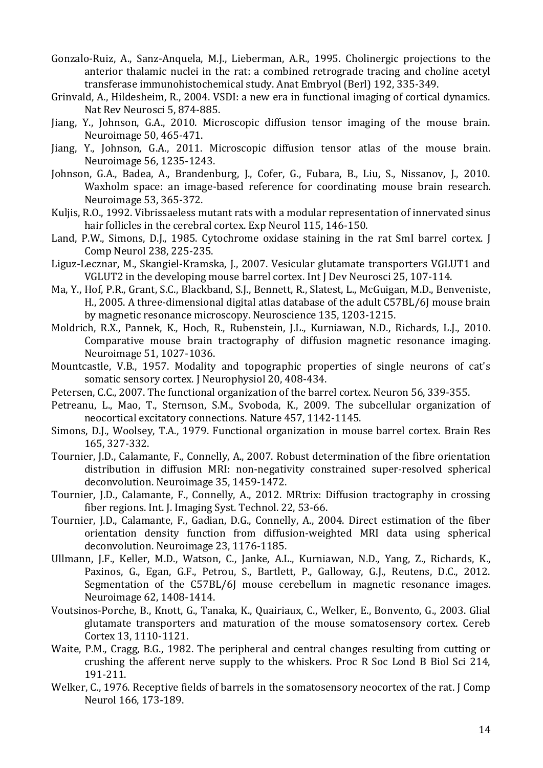- <span id="page-13-4"></span>Gonzalo-Ruiz, A., Sanz-Anquela, M.J., Lieberman, A.R., 1995. Cholinergic projections to the anterior thalamic nuclei in the rat: a combined retrograde tracing and choline acetyl transferase immunohistochemical study. Anat Embryol (Berl) 192, 335-349.
- <span id="page-13-1"></span>Grinvald, A., Hildesheim, R., 2004. VSDI: a new era in functional imaging of cortical dynamics. Nat Rev Neurosci 5, 874-885.
- <span id="page-13-18"></span>Jiang, Y., Johnson, G.A., 2010. Microscopic diffusion tensor imaging of the mouse brain. Neuroimage 50, 465-471.
- <span id="page-13-19"></span>Jiang, Y., Johnson, G.A., 2011. Microscopic diffusion tensor atlas of the mouse brain. Neuroimage 56, 1235-1243.
- <span id="page-13-12"></span>Johnson, G.A., Badea, A., Brandenburg, J., Cofer, G., Fubara, B., Liu, S., Nissanov, J., 2010. Waxholm space: an image-based reference for coordinating mouse brain research. Neuroimage 53, 365-372.
- <span id="page-13-16"></span>Kuljis, R.O., 1992. Vibrissaeless mutant rats with a modular representation of innervated sinus hair follicles in the cerebral cortex. Exp Neurol 115, 146-150.
- <span id="page-13-5"></span>Land, P.W., Simons, D.J., 1985. Cytochrome oxidase staining in the rat SmI barrel cortex. J Comp Neurol 238, 225-235.
- <span id="page-13-20"></span>Liguz-Lecznar, M., Skangiel-Kramska, J., 2007. Vesicular glutamate transporters VGLUT1 and VGLUT2 in the developing mouse barrel cortex. Int J Dev Neurosci 25, 107-114.
- <span id="page-13-7"></span>Ma, Y., Hof, P.R., Grant, S.C., Blackband, S.J., Bennett, R., Slatest, L., McGuigan, M.D., Benveniste, H., 2005. A three-dimensional digital atlas database of the adult C57BL/6J mouse brain by magnetic resonance microscopy. Neuroscience 135, 1203-1215.
- <span id="page-13-10"></span>Moldrich, R.X., Pannek, K., Hoch, R., Rubenstein, J.L., Kurniawan, N.D., Richards, L.J., 2010. Comparative mouse brain tractography of diffusion magnetic resonance imaging. Neuroimage 51, 1027-1036.
- <span id="page-13-17"></span>Mountcastle, V.B., 1957. Modality and topographic properties of single neurons of cat's somatic sensory cortex. J Neurophysiol 20, 408-434.
- <span id="page-13-0"></span>Petersen, C.C., 2007. The functional organization of the barrel cortex. Neuron 56, 339-355.
- <span id="page-13-15"></span>Petreanu, L., Mao, T., Sternson, S.M., Svoboda, K., 2009. The subcellular organization of neocortical excitatory connections. Nature 457, 1142-1145.
- <span id="page-13-2"></span>Simons, D.J., Woolsey, T.A., 1979. Functional organization in mouse barrel cortex. Brain Res 165, 327-332.
- <span id="page-13-9"></span>Tournier, J.D., Calamante, F., Connelly, A., 2007. Robust determination of the fibre orientation distribution in diffusion MRI: non-negativity constrained super-resolved spherical deconvolution. Neuroimage 35, 1459-1472.
- <span id="page-13-11"></span>Tournier, J.D., Calamante, F., Connelly, A., 2012. MRtrix: Diffusion tractography in crossing fiber regions. Int. J. Imaging Syst. Technol. 22, 53-66.
- <span id="page-13-13"></span>Tournier, J.D., Calamante, F., Gadian, D.G., Connelly, A., 2004. Direct estimation of the fiber orientation density function from diffusion-weighted MRI data using spherical deconvolution. Neuroimage 23, 1176-1185.
- <span id="page-13-8"></span>Ullmann, J.F., Keller, M.D., Watson, C., Janke, A.L., Kurniawan, N.D., Yang, Z., Richards, K., Paxinos, G., Egan, G.F., Petrou, S., Bartlett, P., Galloway, G.J., Reutens, D.C., 2012. Segmentation of the C57BL/6J mouse cerebellum in magnetic resonance images. Neuroimage 62, 1408-1414.
- <span id="page-13-6"></span>Voutsinos-Porche, B., Knott, G., Tanaka, K., Quairiaux, C., Welker, E., Bonvento, G., 2003. Glial glutamate transporters and maturation of the mouse somatosensory cortex. Cereb Cortex 13, 1110-1121.
- <span id="page-13-14"></span>Waite, P.M., Cragg, B.G., 1982. The peripheral and central changes resulting from cutting or crushing the afferent nerve supply to the whiskers. Proc R Soc Lond B Biol Sci 214, 191-211.
- <span id="page-13-3"></span>Welker, C., 1976. Receptive fields of barrels in the somatosensory neocortex of the rat. J Comp Neurol 166, 173-189.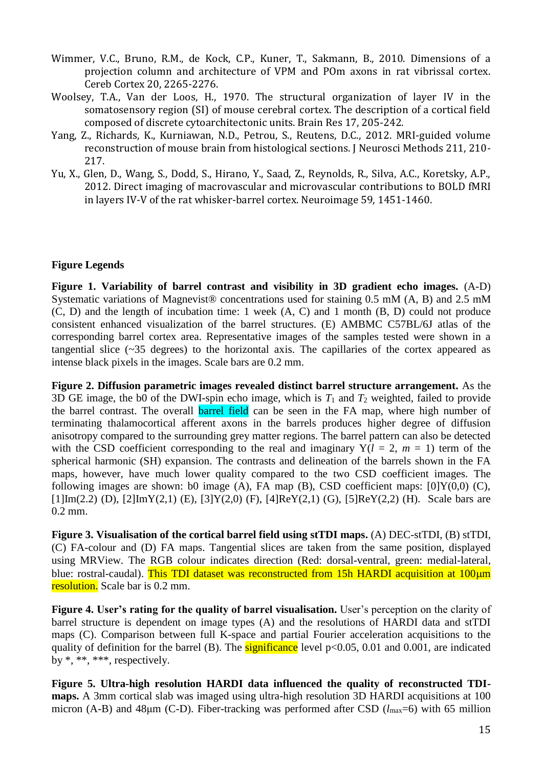- <span id="page-14-2"></span>Wimmer, V.C., Bruno, R.M., de Kock, C.P., Kuner, T., Sakmann, B., 2010. Dimensions of a projection column and architecture of VPM and POm axons in rat vibrissal cortex. Cereb Cortex 20, 2265-2276.
- <span id="page-14-0"></span>Woolsey, T.A., Van der Loos, H., 1970. The structural organization of layer IV in the somatosensory region (SI) of mouse cerebral cortex. The description of a cortical field composed of discrete cytoarchitectonic units. Brain Res 17, 205-242.
- <span id="page-14-3"></span>Yang, Z., Richards, K., Kurniawan, N.D., Petrou, S., Reutens, D.C., 2012. MRI-guided volume reconstruction of mouse brain from histological sections. J Neurosci Methods 211, 210- 217.
- <span id="page-14-1"></span>Yu, X., Glen, D., Wang, S., Dodd, S., Hirano, Y., Saad, Z., Reynolds, R., Silva, A.C., Koretsky, A.P., 2012. Direct imaging of macrovascular and microvascular contributions to BOLD fMRI in layers IV-V of the rat whisker-barrel cortex. Neuroimage 59, 1451-1460.

## **Figure Legends**

**Figure 1. Variability of barrel contrast and visibility in 3D gradient echo images.** (A-D) Systematic variations of Magnevist® concentrations used for staining 0.5 mM (A, B) and 2.5 mM (C, D) and the length of incubation time: 1 week (A, C) and 1 month (B, D) could not produce consistent enhanced visualization of the barrel structures. (E) AMBMC C57BL/6J atlas of the corresponding barrel cortex area. Representative images of the samples tested were shown in a tangential slice (~35 degrees) to the horizontal axis. The capillaries of the cortex appeared as intense black pixels in the images. Scale bars are 0.2 mm.

**Figure 2. Diffusion parametric images revealed distinct barrel structure arrangement.** As the 3D GE image, the b0 of the DWI-spin echo image, which is  $T_1$  and  $T_2$  weighted, failed to provide the barrel contrast. The overall barrel field can be seen in the FA map, where high number of terminating thalamocortical afferent axons in the barrels produces higher degree of diffusion anisotropy compared to the surrounding grey matter regions. The barrel pattern can also be detected with the CSD coefficient corresponding to the real and imaginary  $Y(l = 2, m = 1)$  term of the spherical harmonic (SH) expansion. The contrasts and delineation of the barrels shown in the FA maps, however, have much lower quality compared to the two CSD coefficient images. The following images are shown: b0 image (A), FA map (B), CSD coefficient maps:  $[0]Y(0,0)$  (C),  $[1]Im(2.2)$  (D),  $[2]ImY(2,1)$  (E),  $[3]Y(2,0)$  (F),  $[4]ReY(2,1)$  (G),  $[5]ReY(2,2)$  (H). Scale bars are 0.2 mm.

**Figure 3. Visualisation of the cortical barrel field using stTDI maps.** (A) DEC-stTDI, (B) stTDI, (C) FA-colour and (D) FA maps. Tangential slices are taken from the same position, displayed using MRView. The RGB colour indicates direction (Red: dorsal-ventral, green: medial-lateral, blue: rostral-caudal). This TDI dataset was reconstructed from 15h HARDI acquisition at 100 µm resolution. Scale bar is 0.2 mm.

**Figure 4. User's rating for the quality of barrel visualisation.** User's perception on the clarity of barrel structure is dependent on image types (A) and the resolutions of HARDI data and stTDI maps (C). Comparison between full K-space and partial Fourier acceleration acquisitions to the quality of definition for the barrel (B). The significance level  $p<0.05$ , 0.01 and 0.001, are indicated by \*, \*\*, \*\*\*, respectively.

**Figure 5. Ultra-high resolution HARDI data influenced the quality of reconstructed TDImaps.** A 3mm cortical slab was imaged using ultra-high resolution 3D HARDI acquisitions at 100 micron (A-B) and 48μm (C-D). Fiber-tracking was performed after CSD (*l*<sub>max</sub>=6) with 65 million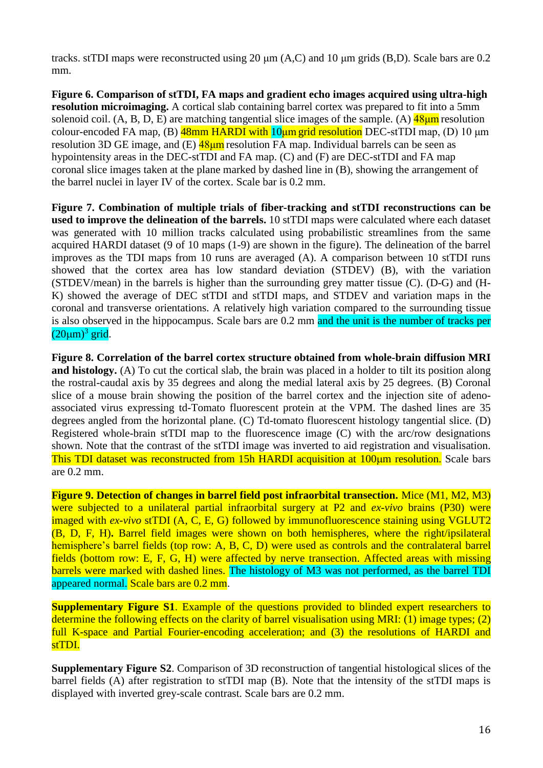tracks. stTDI maps were reconstructed using 20 μm (A,C) and 10 μm grids (B,D). Scale bars are 0.2 mm.

**Figure 6. Comparison of stTDI, FA maps and gradient echo images acquired using ultra-high resolution microimaging.** A cortical slab containing barrel cortex was prepared to fit into a 5mm solenoid coil.  $(A, B, D, E)$  are matching tangential slice images of the sample.  $(A)$   $48\mu m$  resolution colour-encoded FA map, (B)  $\frac{48 \text{mm} \text{ HARDI with 10} \mu \text{m grid resolution}$  DEC-stTDI map, (D) 10  $\mu \text{m}$ resolution 3D GE image, and  $(E)$   $\frac{48 \mu m}{m}$  resolution FA map. Individual barrels can be seen as hypointensity areas in the DEC-stTDI and FA map. (C) and (F) are DEC-stTDI and FA map coronal slice images taken at the plane marked by dashed line in (B), showing the arrangement of the barrel nuclei in layer IV of the cortex. Scale bar is 0.2 mm.

**Figure 7. Combination of multiple trials of fiber-tracking and stTDI reconstructions can be used to improve the delineation of the barrels.** 10 stTDI maps were calculated where each dataset was generated with 10 million tracks calculated using probabilistic streamlines from the same acquired HARDI dataset (9 of 10 maps (1-9) are shown in the figure). The delineation of the barrel improves as the TDI maps from 10 runs are averaged (A). A comparison between 10 stTDI runs showed that the cortex area has low standard deviation (STDEV) (B), with the variation (STDEV/mean) in the barrels is higher than the surrounding grey matter tissue (C). (D-G) and (H-K) showed the average of DEC stTDI and stTDI maps, and STDEV and variation maps in the coronal and transverse orientations. A relatively high variation compared to the surrounding tissue is also observed in the hippocampus. Scale bars are 0.2 mm and the unit is the number of tracks per  $(20 \mu m)^3$  grid.

**Figure 8. Correlation of the barrel cortex structure obtained from whole-brain diffusion MRI and histology.** (A) To cut the cortical slab, the brain was placed in a holder to tilt its position along the rostral-caudal axis by 35 degrees and along the medial lateral axis by 25 degrees. (B) Coronal slice of a mouse brain showing the position of the barrel cortex and the injection site of adenoassociated virus expressing td-Tomato fluorescent protein at the VPM. The dashed lines are 35 degrees angled from the horizontal plane. (C) Td-tomato fluorescent histology tangential slice. (D) Registered whole-brain stTDI map to the fluorescence image (C) with the arc/row designations shown. Note that the contrast of the stTDI image was inverted to aid registration and visualisation. This TDI dataset was reconstructed from 15h HARDI acquisition at 100µm resolution. Scale bars are 0.2 mm.

**Figure 9. Detection of changes in barrel field post infraorbital transection.** Mice (M1, M2, M3) were subjected to a unilateral partial infraorbital surgery at P2 and *ex-vivo* brains (P30) were imaged with *ex-vivo* stTDI (A, C, E, G) followed by immunofluorescence staining using VGLUT2 (B, D, F, H)**.** Barrel field images were shown on both hemispheres, where the right/ipsilateral hemisphere's barrel fields (top row: A, B, C, D) were used as controls and the contralateral barrel fields (bottom row: E, F, G, H) were affected by nerve transection. Affected areas with missing barrels were marked with dashed lines. The histology of M3 was not performed, as the barrel TDI appeared normal. Scale bars are 0.2 mm.

**Supplementary Figure S1.** Example of the questions provided to blinded expert researchers to determine the following effects on the clarity of barrel visualisation using MRI: (1) image types; (2) full K-space and Partial Fourier-encoding acceleration; and (3) the resolutions of HARDI and stTDI.

**Supplementary Figure S2**. Comparison of 3D reconstruction of tangential histological slices of the barrel fields (A) after registration to stTDI map (B). Note that the intensity of the stTDI maps is displayed with inverted grey-scale contrast. Scale bars are 0.2 mm.